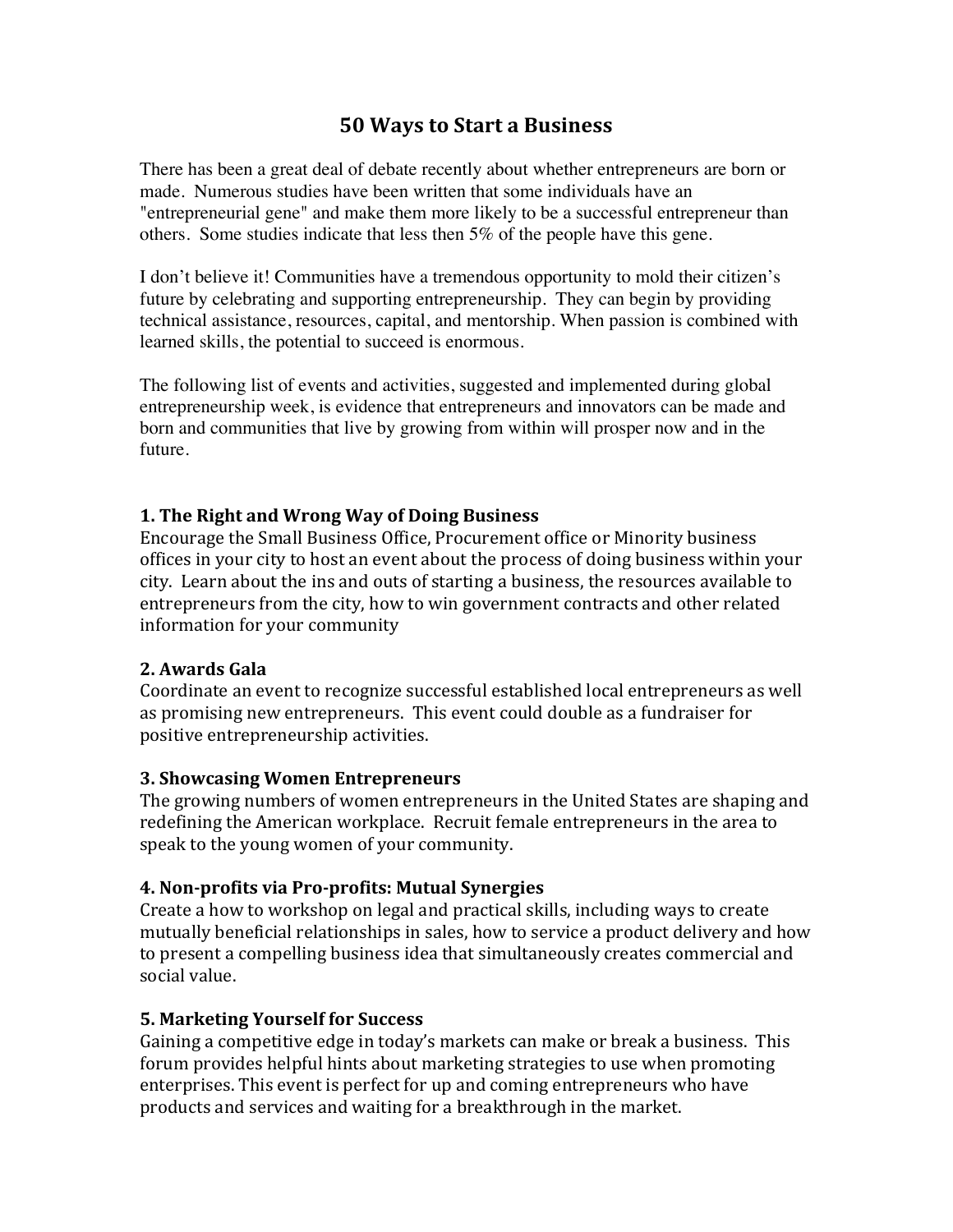# **50 Ways to Start a Business**

There has been a great deal of debate recently about whether entrepreneurs are born or made. Numerous studies have been written that some individuals have an "entrepreneurial gene" and make them more likely to be a successful entrepreneur than others. Some studies indicate that less then 5% of the people have this gene.

I don't believe it! Communities have a tremendous opportunity to mold their citizen's future by celebrating and supporting entrepreneurship. They can begin by providing technical assistance, resources, capital, and mentorship. When passion is combined with learned skills, the potential to succeed is enormous.

The following list of events and activities, suggested and implemented during global entrepreneurship week, is evidence that entrepreneurs and innovators can be made and born and communities that live by growing from within will prosper now and in the future.

#### **1. The Right and Wrong Way of Doing Business**

Encourage the Small Business Office, Procurement office or Minority business offices in your city to host an event about the process of doing business within your city. Learn about the ins and outs of starting a business, the resources available to entrepreneurs from the city, how to win government contracts and other related information for your community

#### **2. Awards Gala**

Coordinate an event to recognize successful established local entrepreneurs as well as promising new entrepreneurs. This event could double as a fundraiser for positive entrepreneurship activities.

#### **3. Showcasing Women Entrepreneurs**

The growing numbers of women entrepreneurs in the United States are shaping and redefining the American workplace. Recruit female entrepreneurs in the area to speak to the young women of your community.

#### **4.** Non-profits via Pro-profits: Mutual Synergies

Create a how to workshop on legal and practical skills, including ways to create mutually beneficial relationships in sales, how to service a product delivery and how to present a compelling business idea that simultaneously creates commercial and social value.

#### **5. Marketing Yourself for Success**

Gaining a competitive edge in today's markets can make or break a business. This forum provides helpful hints about marketing strategies to use when promoting enterprises. This event is perfect for up and coming entrepreneurs who have products and services and waiting for a breakthrough in the market.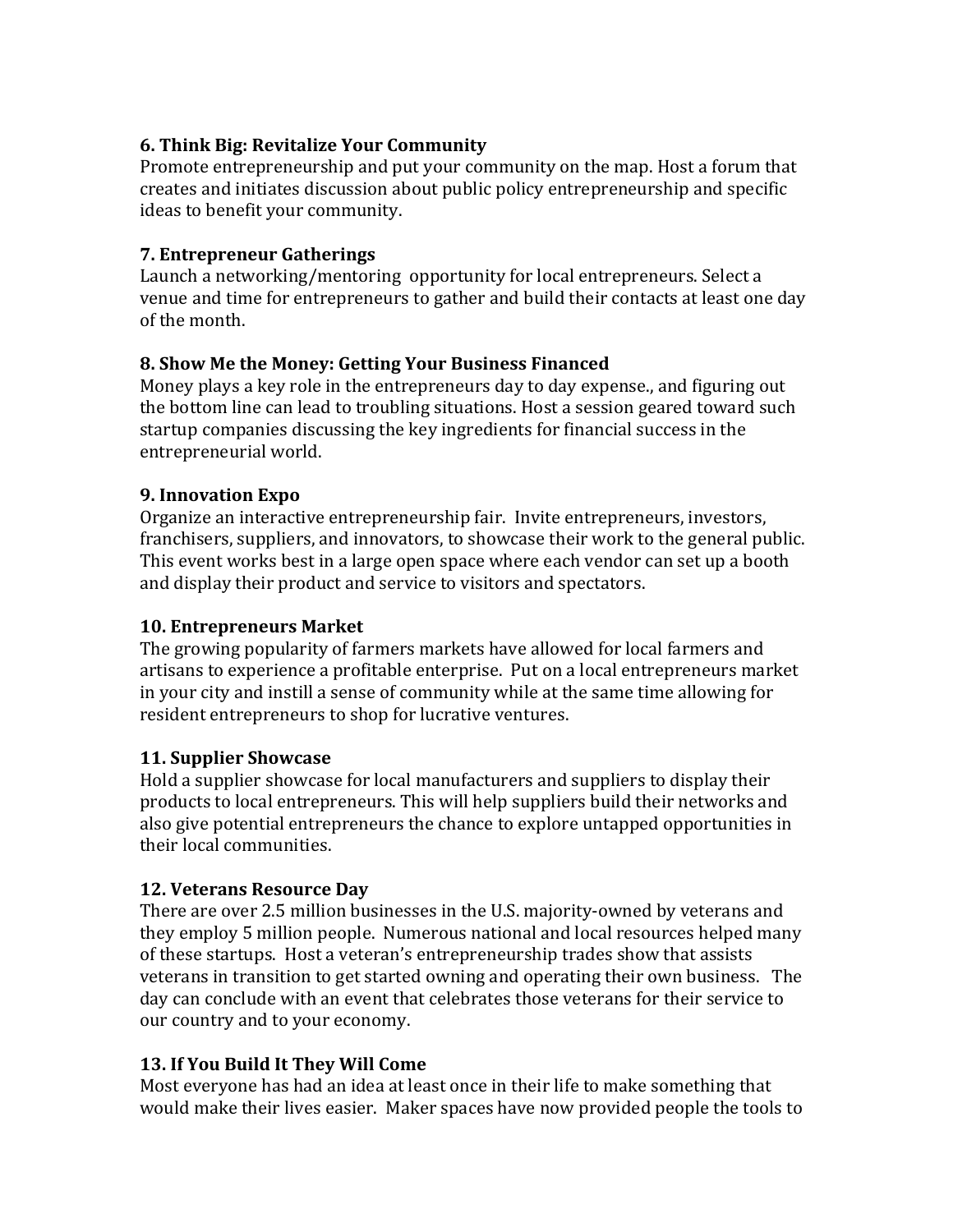### **6. Think Big: Revitalize Your Community**

Promote entrepreneurship and put your community on the map. Host a forum that creates and initiates discussion about public policy entrepreneurship and specific ideas to benefit your community.

#### **7. Entrepreneur Gatherings**

Launch a networking/mentoring opportunity for local entrepreneurs. Select a venue and time for entrepreneurs to gather and build their contacts at least one day of the month.

## **8. Show Me the Money: Getting Your Business Financed**

Money plays a key role in the entrepreneurs day to day expense., and figuring out the bottom line can lead to troubling situations. Host a session geared toward such startup companies discussing the key ingredients for financial success in the entrepreneurial world.

### **9. Innovation Expo**

Organize an interactive entrepreneurship fair. Invite entrepreneurs, investors, franchisers, suppliers, and innovators, to showcase their work to the general public. This event works best in a large open space where each vendor can set up a booth and display their product and service to visitors and spectators.

### **10. Entrepreneurs Market**

The growing popularity of farmers markets have allowed for local farmers and artisans to experience a profitable enterprise. Put on a local entrepreneurs market in your city and instill a sense of community while at the same time allowing for resident entrepreneurs to shop for lucrative ventures.

## **11.** Supplier Showcase

Hold a supplier showcase for local manufacturers and suppliers to display their products to local entrepreneurs. This will help suppliers build their networks and also give potential entrepreneurs the chance to explore untapped opportunities in their local communities.

## **12. Veterans Resource Day**

There are over 2.5 million businesses in the U.S. majority-owned by veterans and they employ 5 million people. Numerous national and local resources helped many of these startups. Host a veteran's entrepreneurship trades show that assists veterans in transition to get started owning and operating their own business. The day can conclude with an event that celebrates those veterans for their service to our country and to your economy.

## **13. If You Build It They Will Come**

Most everyone has had an idea at least once in their life to make something that would make their lives easier. Maker spaces have now provided people the tools to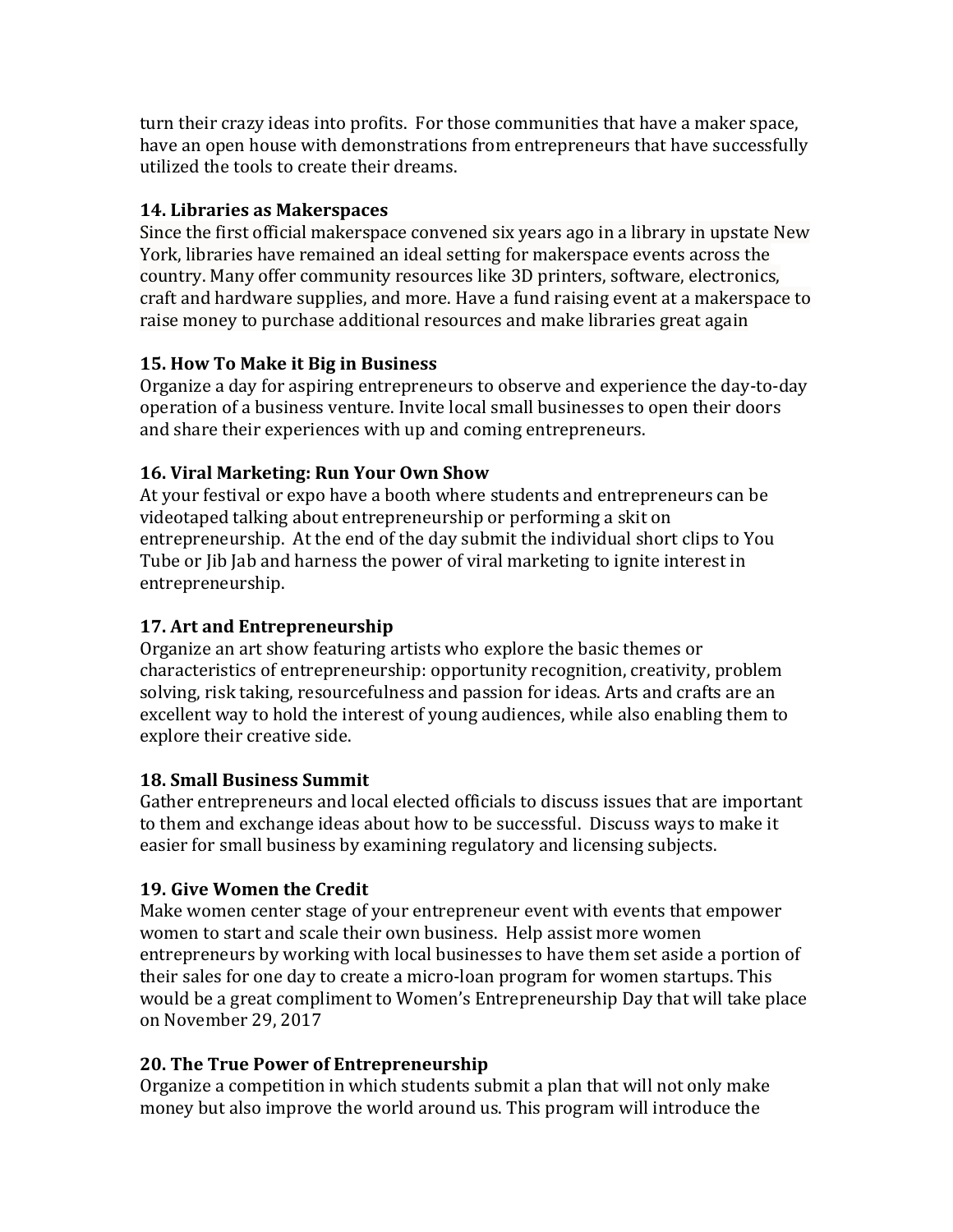turn their crazy ideas into profits. For those communities that have a maker space, have an open house with demonstrations from entrepreneurs that have successfully utilized the tools to create their dreams.

## **14. Libraries as Makerspaces**

Since the first official makerspace convened six years ago in a library in upstate New York, libraries have remained an ideal setting for makerspace events across the country. Many offer community resources like 3D printers, software, electronics, craft and hardware supplies, and more. Have a fund raising event at a makerspace to raise money to purchase additional resources and make libraries great again

# **15. How To Make it Big in Business**

Organize a day for aspiring entrepreneurs to observe and experience the day-to-day operation of a business venture. Invite local small businesses to open their doors and share their experiences with up and coming entrepreneurs.

# **16. Viral Marketing: Run Your Own Show**

At your festival or expo have a booth where students and entrepreneurs can be videotaped talking about entrepreneurship or performing a skit on entrepreneurship. At the end of the day submit the individual short clips to You Tube or Jib Jab and harness the power of viral marketing to ignite interest in entrepreneurship.

# **17.** Art and Entrepreneurship

Organize an art show featuring artists who explore the basic themes or characteristics of entrepreneurship: opportunity recognition, creativity, problem solving, risk taking, resourcefulness and passion for ideas. Arts and crafts are an excellent way to hold the interest of young audiences, while also enabling them to explore their creative side.

## **18. Small Business Summit**

Gather entrepreneurs and local elected officials to discuss issues that are important to them and exchange ideas about how to be successful. Discuss ways to make it easier for small business by examining regulatory and licensing subjects.

# **19.** Give Women the Credit

Make women center stage of your entrepreneur event with events that empower women to start and scale their own business. Help assist more women entrepreneurs by working with local businesses to have them set aside a portion of their sales for one day to create a micro-loan program for women startups. This would be a great compliment to Women's Entrepreneurship Day that will take place on November 29, 2017

# **20.** The True Power of Entrepreneurship

Organize a competition in which students submit a plan that will not only make money but also improve the world around us. This program will introduce the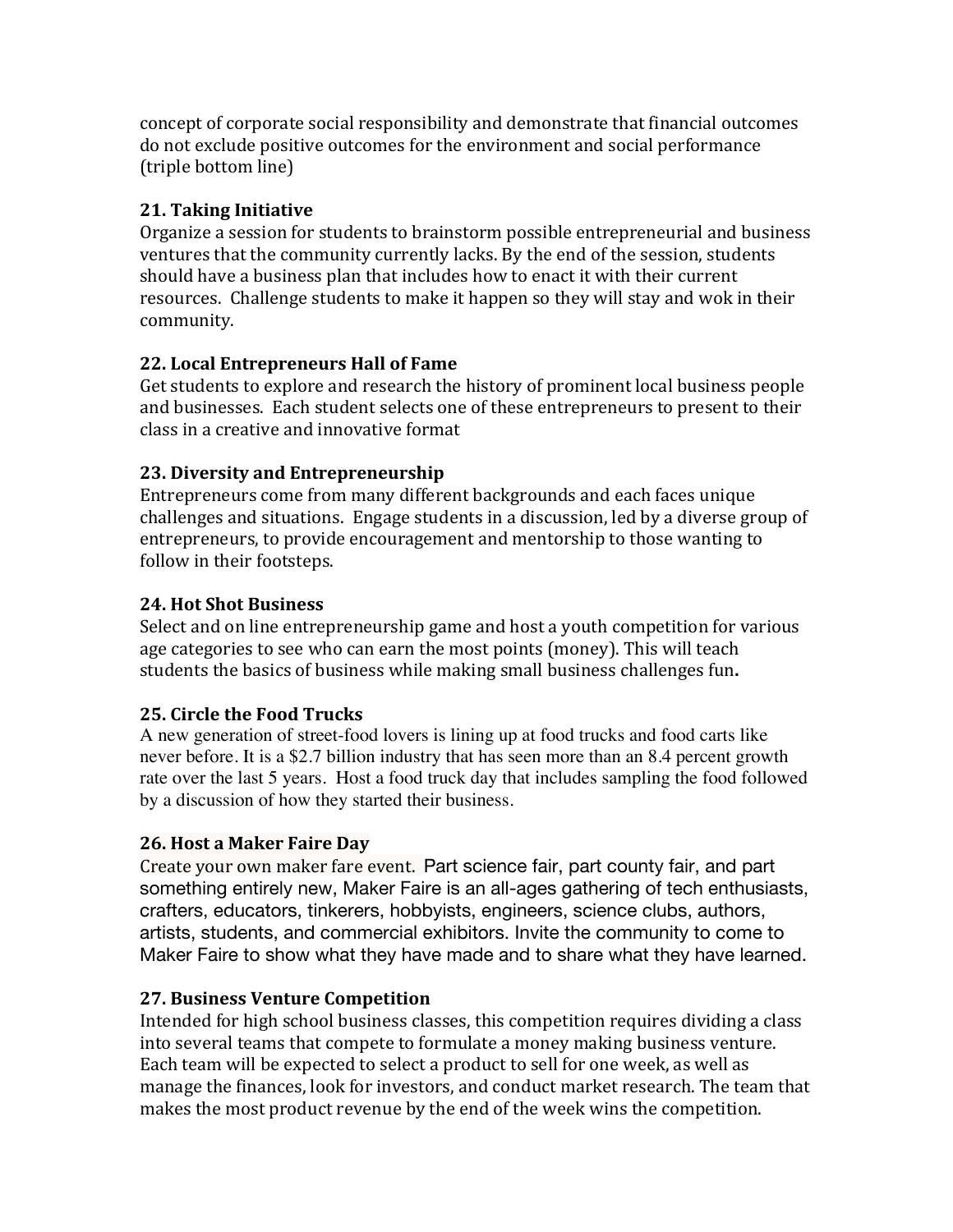concept of corporate social responsibility and demonstrate that financial outcomes do not exclude positive outcomes for the environment and social performance (triple bottom line)

# **21. Taking Initiative**

Organize a session for students to brainstorm possible entrepreneurial and business ventures that the community currently lacks. By the end of the session, students should have a business plan that includes how to enact it with their current resources. Challenge students to make it happen so they will stay and wok in their community.

## **22. Local Entrepreneurs Hall of Fame**

Get students to explore and research the history of prominent local business people and businesses. Each student selects one of these entrepreneurs to present to their class in a creative and innovative format

# **23. Diversity and Entrepreneurship**

Entrepreneurs come from many different backgrounds and each faces unique challenges and situations. Engage students in a discussion, led by a diverse group of entrepreneurs, to provide encouragement and mentorship to those wanting to follow in their footsteps.

# **24. Hot Shot Business**

Select and on line entrepreneurship game and host a youth competition for various age categories to see who can earn the most points (money). This will teach students the basics of business while making small business challenges fun.

## **25.** Circle the Food Trucks

A new generation of street-food lovers is lining up at food trucks and food carts like never before. It is a \$2.7 billion industry that has seen more than an 8.4 percent growth rate over the last 5 years. Host a food truck day that includes sampling the food followed by a discussion of how they started their business.

# **26. Host a Maker Faire Day**

Create your own maker fare event. Part science fair, part county fair, and part something entirely new, Maker Faire is an all-ages gathering of tech enthusiasts, crafters, educators, tinkerers, hobbyists, engineers, science clubs, authors, artists, students, and commercial exhibitors. Invite the community to come to Maker Faire to show what they have made and to share what they have learned.

## **27. Business Venture Competition**

Intended for high school business classes, this competition requires dividing a class into several teams that compete to formulate a money making business venture. Each team will be expected to select a product to sell for one week, as well as manage the finances, look for investors, and conduct market research. The team that makes the most product revenue by the end of the week wins the competition.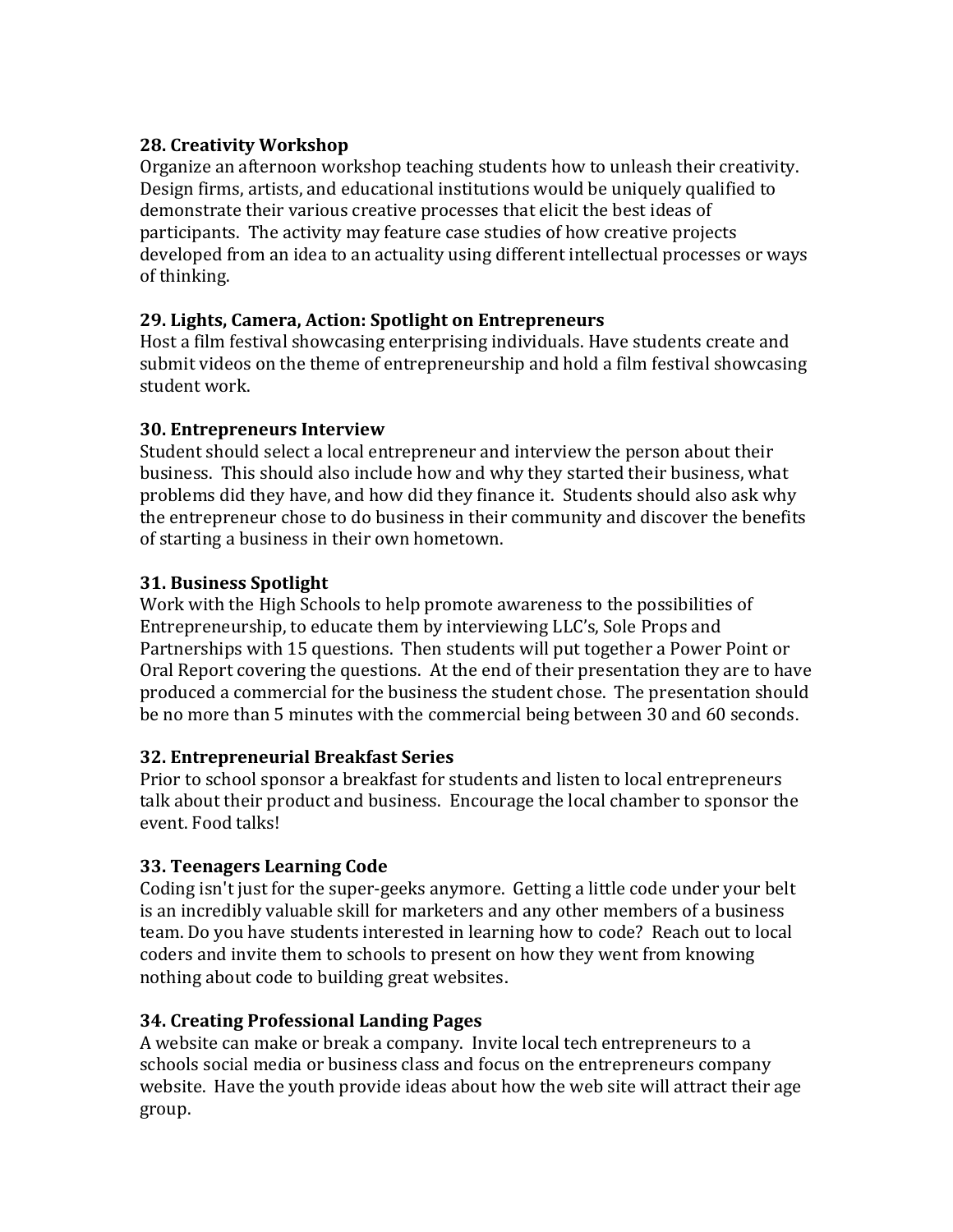### **28. Creativity Workshop**

Organize an afternoon workshop teaching students how to unleash their creativity. Design firms, artists, and educational institutions would be uniquely qualified to demonstrate their various creative processes that elicit the best ideas of participants. The activity may feature case studies of how creative projects developed from an idea to an actuality using different intellectual processes or ways of thinking.

### **29. Lights, Camera, Action: Spotlight on Entrepreneurs**

Host a film festival showcasing enterprising individuals. Have students create and submit videos on the theme of entrepreneurship and hold a film festival showcasing student work.

### **30. Entrepreneurs Interview**

Student should select a local entrepreneur and interview the person about their business. This should also include how and why they started their business, what problems did they have, and how did they finance it. Students should also ask why the entrepreneur chose to do business in their community and discover the benefits of starting a business in their own hometown.

## **31. Business Spotlight**

Work with the High Schools to help promote awareness to the possibilities of Entrepreneurship, to educate them by interviewing LLC's, Sole Props and Partnerships with 15 questions. Then students will put together a Power Point or Oral Report covering the questions. At the end of their presentation they are to have produced a commercial for the business the student chose. The presentation should be no more than 5 minutes with the commercial being between 30 and 60 seconds.

#### **32. Entrepreneurial Breakfast Series**

Prior to school sponsor a breakfast for students and listen to local entrepreneurs talk about their product and business. Encourage the local chamber to sponsor the event. Food talks!

## **33. Teenagers Learning Code**

Coding isn't just for the super-geeks anymore. Getting a little code under your belt is an incredibly valuable skill for marketers and any other members of a business team. Do you have students interested in learning how to code? Reach out to local coders and invite them to schools to present on how they went from knowing nothing about code to building great websites.

## **34. Creating Professional Landing Pages**

A website can make or break a company. Invite local tech entrepreneurs to a schools social media or business class and focus on the entrepreneurs company website. Have the youth provide ideas about how the web site will attract their age group.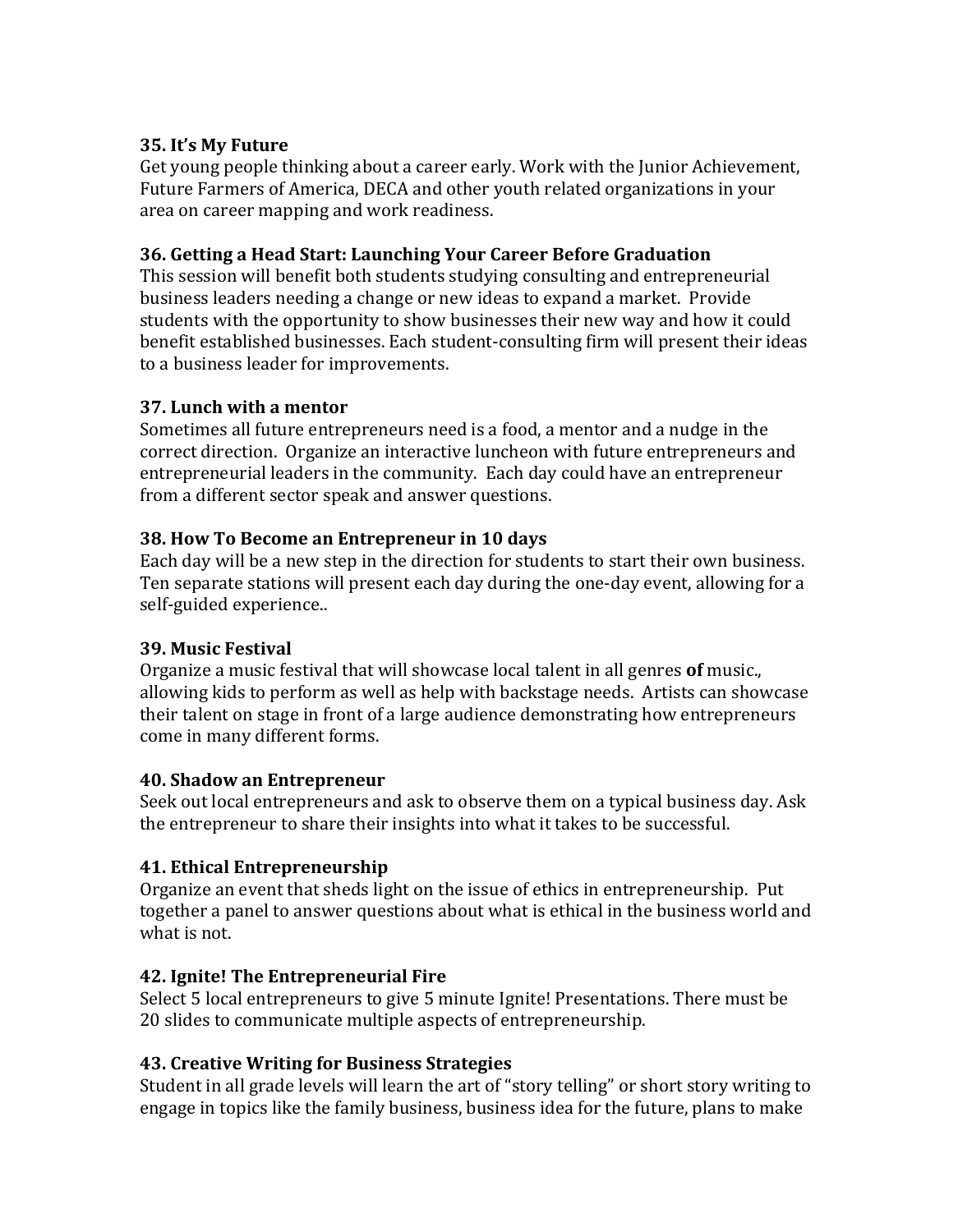### **35. It's My Future**

Get young people thinking about a career early. Work with the Junior Achievement, Future Farmers of America, DECA and other youth related organizations in your area on career mapping and work readiness.

### **36. Getting a Head Start: Launching Your Career Before Graduation**

This session will benefit both students studying consulting and entrepreneurial business leaders needing a change or new ideas to expand a market. Provide students with the opportunity to show businesses their new way and how it could benefit established businesses. Each student-consulting firm will present their ideas to a business leader for improvements.

### **37. Lunch with a mentor**

Sometimes all future entrepreneurs need is a food, a mentor and a nudge in the correct direction. Organize an interactive luncheon with future entrepreneurs and entrepreneurial leaders in the community. Each day could have an entrepreneur from a different sector speak and answer questions.

### **38. How To Become an Entrepreneur in 10 days**

Each day will be a new step in the direction for students to start their own business. Ten separate stations will present each day during the one-day event, allowing for a self-guided experience..

#### **39. Music Festival**

Organize a music festival that will showcase local talent in all genres **of** music., allowing kids to perform as well as help with backstage needs. Artists can showcase their talent on stage in front of a large audience demonstrating how entrepreneurs come in many different forms.

## **40. Shadow an Entrepreneur**

Seek out local entrepreneurs and ask to observe them on a typical business day. Ask the entrepreneur to share their insights into what it takes to be successful.

## **41. Ethical Entrepreneurship**

Organize an event that sheds light on the issue of ethics in entrepreneurship. Put together a panel to answer questions about what is ethical in the business world and what is not.

## **42. Ignite! The Entrepreneurial Fire**

Select 5 local entrepreneurs to give 5 minute Ignite! Presentations. There must be 20 slides to communicate multiple aspects of entrepreneurship.

## **43. Creative Writing for Business Strategies**

Student in all grade levels will learn the art of "story telling" or short story writing to engage in topics like the family business, business idea for the future, plans to make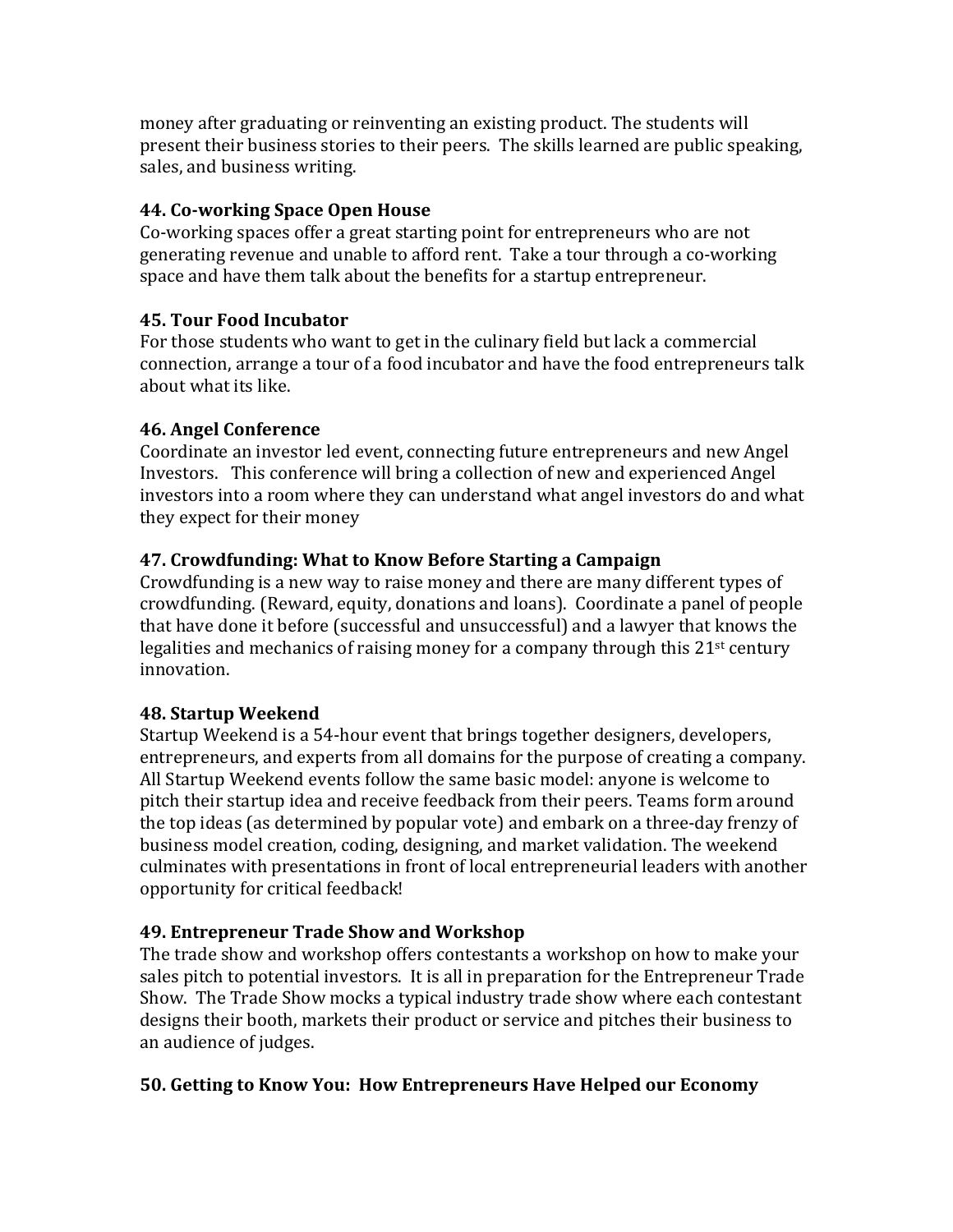money after graduating or reinventing an existing product. The students will present their business stories to their peers. The skills learned are public speaking, sales, and business writing.

### **44. Co-working Space Open House**

Co-working spaces offer a great starting point for entrepreneurs who are not generating revenue and unable to afford rent. Take a tour through a co-working space and have them talk about the benefits for a startup entrepreneur.

### **45. Tour Food Incubator**

For those students who want to get in the culinary field but lack a commercial connection, arrange a tour of a food incubator and have the food entrepreneurs talk about what its like.

### **46. Angel Conference**

Coordinate an investor led event, connecting future entrepreneurs and new Angel Investors. This conference will bring a collection of new and experienced Angel investors into a room where they can understand what angel investors do and what they expect for their money

### **47. Crowdfunding: What to Know Before Starting a Campaign**

Crowdfunding is a new way to raise money and there are many different types of crowdfunding. (Reward, equity, donations and loans). Coordinate a panel of people that have done it before (successful and unsuccessful) and a lawyer that knows the legalities and mechanics of raising money for a company through this  $21<sup>st</sup>$  century innovation.

#### **48. Startup Weekend**

Startup Weekend is a 54-hour event that brings together designers, developers, entrepreneurs, and experts from all domains for the purpose of creating a company. All Startup Weekend events follow the same basic model: anyone is welcome to pitch their startup idea and receive feedback from their peers. Teams form around the top ideas (as determined by popular vote) and embark on a three-day frenzy of business model creation, coding, designing, and market validation. The weekend culminates with presentations in front of local entrepreneurial leaders with another opportunity for critical feedback!

## **49. Entrepreneur Trade Show and Workshop**

The trade show and workshop offers contestants a workshop on how to make your sales pitch to potential investors. It is all in preparation for the Entrepreneur Trade Show. The Trade Show mocks a typical industry trade show where each contestant designs their booth, markets their product or service and pitches their business to an audience of judges.

## **50. Getting to Know You: How Entrepreneurs Have Helped our Economy**